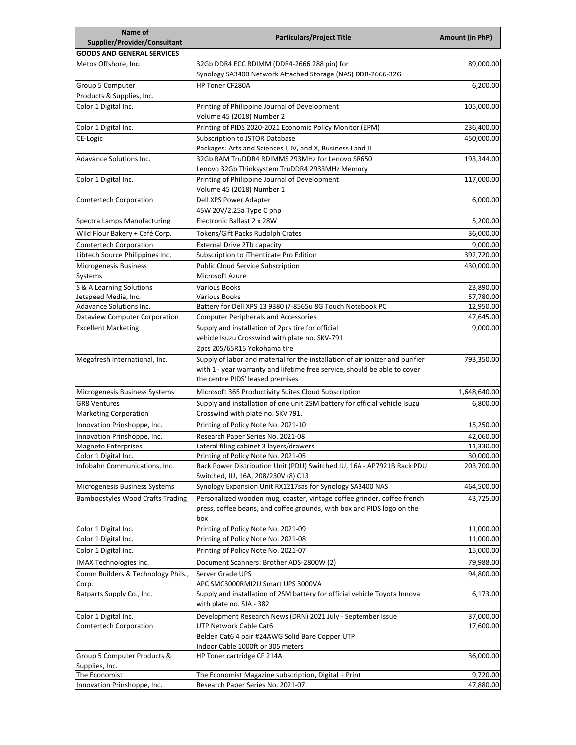| Name of                                             | <b>Particulars/Project Title</b>                                                                                | <b>Amount (in PhP)</b> |
|-----------------------------------------------------|-----------------------------------------------------------------------------------------------------------------|------------------------|
| Supplier/Provider/Consultant                        |                                                                                                                 |                        |
| <b>GOODS AND GENERAL SERVICES</b>                   |                                                                                                                 |                        |
| Metos Offshore, Inc.                                | 32Gb DDR4 ECC RDIMM (DDR4-2666 288 pin) for<br>Synology SA3400 Network Attached Storage (NAS) DDR-2666-32G      | 89,000.00              |
| Group 5 Computer<br>Products & Supplies, Inc.       | <b>HP Toner CF280A</b>                                                                                          | 6,200.00               |
| Color 1 Digital Inc.                                | Printing of Philippine Journal of Development                                                                   | 105,000.00             |
| Color 1 Digital Inc.                                | Volume 45 (2018) Number 2<br>Printing of PIDS 2020-2021 Economic Policy Monitor (EPM)                           | 236,400.00             |
| CE-Logic                                            | Subscription to JSTOR Database                                                                                  | 450,000.00             |
|                                                     | Packages: Arts and Sciences I, IV, and X, Business I and II                                                     |                        |
| <b>Adavance Solutions Inc.</b>                      | 32Gb RAM TruDDR4 RDIMMS 293MHz for Lenovo SR650                                                                 | 193,344.00             |
|                                                     | Lenovo 32Gb Thinksystem TruDDR4 2933MHz Memory                                                                  |                        |
| Color 1 Digital Inc.                                | Printing of Philippine Journal of Development<br>Volume 45 (2018) Number 1                                      | 117,000.00             |
| Comtertech Corporation                              | Dell XPS Power Adapter<br>45W 20V/2.25a Type C php                                                              | 6,000.00               |
| Spectra Lamps Manufacturing                         | Electronic Ballast 2 x 28W                                                                                      | 5,200.00               |
| Wild Flour Bakery + Café Corp.                      | Tokens/Gift Packs Rudolph Crates                                                                                | 36,000.00              |
| <b>Comtertech Corporation</b>                       | <b>External Drive 2Tb capacity</b>                                                                              | 9,000.00               |
| Libtech Source Philippines Inc.                     | Subscription to iThenticate Pro Edition                                                                         | 392,720.00             |
| <b>Microgenesis Business</b>                        | <b>Public Cloud Service Subscription</b>                                                                        | 430,000.00             |
| Systems                                             | Microsoft Azure                                                                                                 |                        |
| S & A Learning Solutions                            | <b>Various Books</b>                                                                                            | 23,890.00              |
| Jetspeed Media, Inc.                                | <b>Various Books</b>                                                                                            | 57,780.00              |
| <b>Adavance Solutions Inc.</b>                      | Battery for Dell XPS 13 9380 i7-8565u 8G Touch Notebook PC                                                      | 12,950.00              |
| <b>Dataview Computer Corporation</b>                | <b>Computer Peripherals and Accessories</b>                                                                     | 47,645.00              |
| <b>Excellent Marketing</b>                          | Supply and installation of 2pcs tire for official                                                               | 9,000.00               |
|                                                     | vehicle Isuzu Crosswind with plate no. SKV-791                                                                  |                        |
|                                                     | 2pcs 205/65R15 Yokohama tire                                                                                    |                        |
| Megafresh International, Inc.                       | Supply of labor and material for the installation of air ionizer and purifier                                   | 793,350.00             |
|                                                     | with 1 - year warranty and lifetime free service, should be able to cover<br>the centre PIDS' leased premises   |                        |
|                                                     | Microsoft 365 Productivity Suites Cloud Subscription                                                            |                        |
| Microgenesis Business Systems                       |                                                                                                                 | 1,648,640.00           |
| <b>GR8 Ventures</b><br><b>Marketing Corporation</b> | Supply and installation of one unit 2SM battery for official vehicle Isuzu<br>Crosswind with plate no. SKV 791. | 6,800.00               |
| Innovation Prinshoppe, Inc.                         | Printing of Policy Note No. 2021-10                                                                             | 15,250.00              |
| Innovation Prinshoppe, Inc.                         | Research Paper Series No. 2021-08                                                                               | 42,060.00              |
| <b>Magneto Enterprises</b>                          | Lateral filing cabinet 3 layers/drawers                                                                         | 11,330.00              |
| Color 1 Digital Inc.                                | Printing of Policy Note No. 2021-05                                                                             | 30,000.00              |
| Infobahn Communications, Inc.                       | Rack Power Distribution Unit (PDU) Switched IU, 16A - AP7921B Rack PDU<br>Switched, IU, 16A, 208/230V (8) C13   | 203,700.00             |
| Microgenesis Business Systems                       | Synology Expansion Unit RX1217sas for Synology SA3400 NAS                                                       | 464,500.00             |
| <b>Bamboostyles Wood Crafts Trading</b>             | Personalized wooden mug, coaster, vintage coffee grinder, coffee french                                         | 43,725.00              |
|                                                     | press, coffee beans, and coffee grounds, with box and PIDS logo on the<br>box                                   |                        |
| Color 1 Digital Inc.                                | Printing of Policy Note No. 2021-09                                                                             | 11,000.00              |
| Color 1 Digital Inc.                                | Printing of Policy Note No. 2021-08                                                                             | 11,000.00              |
| Color 1 Digital Inc.                                | Printing of Policy Note No. 2021-07                                                                             | 15,000.00              |
| IMAX Technologies Inc.                              | Document Scanners: Brother ADS-2800W (2)                                                                        | 79,988.00              |
| Comm Builders & Technology Phils.,                  | Server Grade UPS                                                                                                | 94,800.00              |
| Corp.                                               | APC SMC3000RMI2U Smart UPS 3000VA                                                                               |                        |
| Batparts Supply Co., Inc.                           | Supply and installation of 2SM battery for official vehicle Toyota Innova<br>with plate no. SJA - 382           | 6,173.00               |
| Color 1 Digital Inc.                                | Development Research News (DRN) 2021 July - September Issue                                                     | 37,000.00              |
| Comtertech Corporation                              | UTP Network Cable Cat6                                                                                          | 17,600.00              |
|                                                     | Belden Cat6 4 pair #24AWG Solid Bare Copper UTP                                                                 |                        |
|                                                     | Indoor Cable 1000ft or 305 meters                                                                               |                        |
| Group 5 Computer Products &                         | HP Toner cartridge CF 214A                                                                                      | 36,000.00              |
| Supplies, Inc.<br>The Economist                     | The Economist Magazine subscription, Digital + Print                                                            | 9,720.00               |
| Innovation Prinshoppe, Inc.                         | Research Paper Series No. 2021-07                                                                               | 47,880.00              |
|                                                     |                                                                                                                 |                        |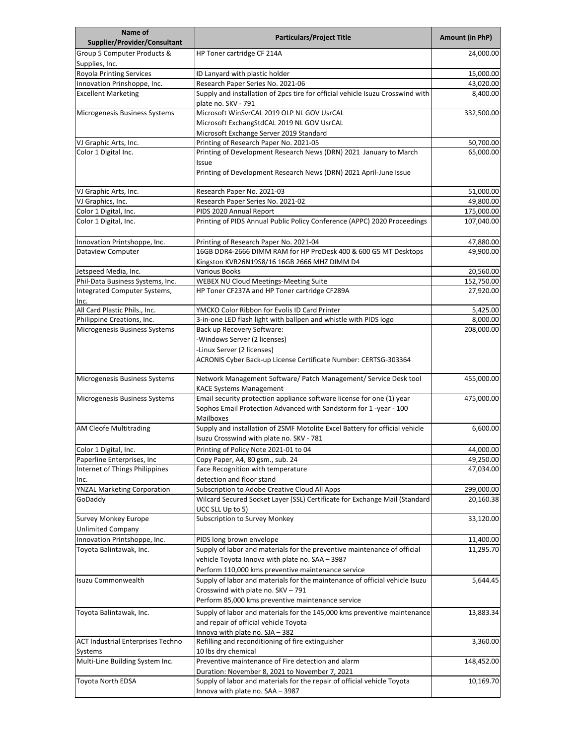| Name of<br>Supplier/Provider/Consultant    | <b>Particulars/Project Title</b>                                                                                                                        | <b>Amount (in PhP)</b>  |
|--------------------------------------------|---------------------------------------------------------------------------------------------------------------------------------------------------------|-------------------------|
| Group 5 Computer Products &                | HP Toner cartridge CF 214A                                                                                                                              | 24,000.00               |
| Supplies, Inc.                             |                                                                                                                                                         |                         |
| Royola Printing Services                   | ID Lanyard with plastic holder                                                                                                                          | 15,000.00               |
| Innovation Prinshoppe, Inc.                | Research Paper Series No. 2021-06                                                                                                                       | 43,020.00               |
| <b>Excellent Marketing</b>                 | Supply and installation of 2pcs tire for official vehicle Isuzu Crosswind with<br>plate no. SKV - 791                                                   | 8,400.00                |
| Microgenesis Business Systems              | Microsoft WinSvrCAL 2019 OLP NL GOV UsrCAL                                                                                                              | 332,500.00              |
|                                            | Microsoft ExchangStdCAL 2019 NL GOV UsrCAL                                                                                                              |                         |
|                                            | Microsoft Exchange Server 2019 Standard                                                                                                                 |                         |
| VJ Graphic Arts, Inc.                      | Printing of Research Paper No. 2021-05                                                                                                                  | 50,700.00               |
| Color 1 Digital Inc.                       | Printing of Development Research News (DRN) 2021 January to March<br>Issue<br>Printing of Development Research News (DRN) 2021 April-June Issue         | 65,000.00               |
|                                            |                                                                                                                                                         |                         |
| VJ Graphic Arts, Inc.                      | Research Paper No. 2021-03                                                                                                                              | 51,000.00               |
| VJ Graphics, Inc.<br>Color 1 Digital, Inc. | Research Paper Series No. 2021-02<br>PIDS 2020 Annual Report                                                                                            | 49,800.00<br>175,000.00 |
| Color 1 Digital, Inc.                      | Printing of PIDS Annual Public Policy Conference (APPC) 2020 Proceedings                                                                                | 107,040.00              |
| Innovation Printshoppe, Inc.               | Printing of Research Paper No. 2021-04                                                                                                                  | 47,880.00               |
| <b>Dataview Computer</b>                   | 16GB DDR4-2666 DIMM RAM for HP ProDesk 400 & 600 G5 MT Desktops                                                                                         | 49,900.00               |
|                                            | Kingston KVR26N19S8/16 16GB 2666 MHZ DIMM D4                                                                                                            |                         |
| Jetspeed Media, Inc.                       | Various Books                                                                                                                                           | 20,560.00               |
| Phil-Data Business Systems, Inc.           | <b>WEBEX NU Cloud Meetings-Meeting Suite</b>                                                                                                            | 152,750.00              |
| Integrated Computer Systems,<br>Inc.       | HP Toner CF237A and HP Toner cartridge CF289A                                                                                                           | 27,920.00               |
| All Card Plastic Phils., Inc.              | YMCKO Color Ribbon for Evolis ID Card Printer                                                                                                           | 5,425.00                |
| Philippine Creations, Inc.                 | 3-in-one LED flash light with ballpen and whistle with PIDS logo                                                                                        | 8,000.00                |
| Microgenesis Business Systems              | Back up Recovery Software:                                                                                                                              | 208,000.00              |
|                                            | -Windows Server (2 licenses)                                                                                                                            |                         |
|                                            | -Linux Server (2 licenses)<br>ACRONIS Cyber Back-up License Certificate Number: CERTSG-303364                                                           |                         |
| Microgenesis Business Systems              | Network Management Software/ Patch Management/ Service Desk tool<br><b>KACE Systems Management</b>                                                      | 455,000.00              |
| Microgenesis Business Systems              | Email security protection appliance software license for one (1) year<br>Sophos Email Protection Advanced with Sandstorm for 1 -year - 100<br>Mailboxes | 475,000.00              |
| AM Cleofe Multitrading                     | Supply and installation of 2SMF Motolite Excel Battery for official vehicle<br>Isuzu Crosswind with plate no. SKV - 781                                 | 6,600.00                |
| Color 1 Digital, Inc.                      | Printing of Policy Note 2021-01 to 04                                                                                                                   | 44,000.00               |
| Paperline Enterprises, Inc                 | Copy Paper, A4, 80 gsm., sub. 24                                                                                                                        | 49,250.00               |
| Internet of Things Philippines             | Face Recognition with temperature                                                                                                                       | 47,034.00               |
| Inc.                                       | detection and floor stand                                                                                                                               |                         |
| <b>YNZAL Marketing Corporation</b>         | Subscription to Adobe Creative Cloud All Apps                                                                                                           | 299,000.00              |
| GoDaddy                                    | Wilcard Secured Socket Layer (SSL) Certificate for Exchange Mail (Standard<br>UCC SLL Up to 5)                                                          | 20,160.38               |
| <b>Survey Monkey Europe</b>                | Subscription to Survey Monkey                                                                                                                           | 33,120.00               |
| <b>Unlimited Company</b>                   |                                                                                                                                                         |                         |
| Innovation Printshoppe, Inc.               | PIDS long brown envelope                                                                                                                                | 11,400.00               |
| Toyota Balintawak, Inc.                    | Supply of labor and materials for the preventive maintenance of official<br>vehicle Toyota Innova with plate no. SAA - 3987                             | 11,295.70               |
|                                            | Perform 110,000 kms preventive maintenance service                                                                                                      |                         |
| Isuzu Commonwealth                         | Supply of labor and materials for the maintenance of official vehicle Isuzu<br>Crosswind with plate no. SKV - 791                                       | 5,644.45                |
|                                            | Perform 85,000 kms preventive maintenance service                                                                                                       |                         |
| Toyota Balintawak, Inc.                    | Supply of labor and materials for the 145,000 kms preventive maintenance<br>and repair of official vehicle Toyota                                       | 13,883.34               |
|                                            | Innova with plate no. SJA - 382                                                                                                                         |                         |
| <b>ACT Industrial Enterprises Techno</b>   | Refilling and reconditioning of fire extinguisher                                                                                                       | 3,360.00                |
| Systems                                    | 10 lbs dry chemical                                                                                                                                     |                         |
| Multi-Line Building System Inc.            | Preventive maintenance of Fire detection and alarm<br>Duration: November 8, 2021 to November 7, 2021                                                    | 148,452.00              |
| <b>Toyota North EDSA</b>                   | Supply of labor and materials for the repair of official vehicle Toyota<br>Innova with plate no. SAA - 3987                                             | 10,169.70               |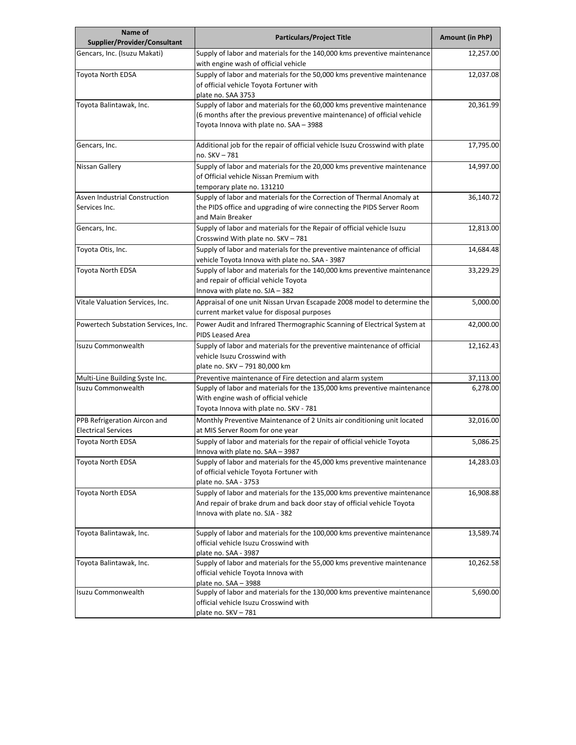| Name of<br>Supplier/Provider/Consultant                    | <b>Particulars/Project Title</b>                                                                                                                                                               | <b>Amount (in PhP)</b> |
|------------------------------------------------------------|------------------------------------------------------------------------------------------------------------------------------------------------------------------------------------------------|------------------------|
| Gencars, Inc. (Isuzu Makati)                               | Supply of labor and materials for the 140,000 kms preventive maintenance<br>with engine wash of official vehicle                                                                               | 12,257.00              |
| Toyota North EDSA                                          | Supply of labor and materials for the 50,000 kms preventive maintenance<br>of official vehicle Toyota Fortuner with<br>plate no. SAA 3753                                                      | 12,037.08              |
| Toyota Balintawak, Inc.                                    | Supply of labor and materials for the 60,000 kms preventive maintenance<br>(6 months after the previous preventive maintenance) of official vehicle<br>Toyota Innova with plate no. SAA - 3988 | 20,361.99              |
| Gencars, Inc.                                              | Additional job for the repair of official vehicle Isuzu Crosswind with plate<br>no. SKV - 781                                                                                                  | 17,795.00              |
| Nissan Gallery                                             | Supply of labor and materials for the 20,000 kms preventive maintenance<br>of Official vehicle Nissan Premium with<br>temporary plate no. 131210                                               | 14,997.00              |
| Asven Industrial Construction<br>Services Inc.             | Supply of labor and materials for the Correction of Thermal Anomaly at<br>the PIDS office and upgrading of wire connecting the PIDS Server Room<br>and Main Breaker                            | 36,140.72              |
| Gencars, Inc.                                              | Supply of labor and materials for the Repair of official vehicle Isuzu<br>Crosswind With plate no. SKV - 781                                                                                   | 12,813.00              |
| Toyota Otis, Inc.                                          | Supply of labor and materials for the preventive maintenance of official<br>vehicle Toyota Innova with plate no. SAA - 3987                                                                    | 14,684.48              |
| Toyota North EDSA                                          | Supply of labor and materials for the 140,000 kms preventive maintenance<br>and repair of official vehicle Toyota<br>Innova with plate no. SJA - 382                                           | 33,229.29              |
| Vitale Valuation Services, Inc.                            | Appraisal of one unit Nissan Urvan Escapade 2008 model to determine the<br>current market value for disposal purposes                                                                          | 5,000.00               |
| Powertech Substation Services, Inc.                        | Power Audit and Infrared Thermographic Scanning of Electrical System at<br>PIDS Leased Area                                                                                                    | 42,000.00              |
| Isuzu Commonwealth                                         | Supply of labor and materials for the preventive maintenance of official<br>vehicle Isuzu Crosswind with<br>plate no. SKV - 791 80,000 km                                                      | 12,162.43              |
| Multi-Line Building Syste Inc.                             | Preventive maintenance of Fire detection and alarm system                                                                                                                                      | 37,113.00              |
| Isuzu Commonwealth                                         | Supply of labor and materials for the 135,000 kms preventive maintenance<br>With engine wash of official vehicle<br>Toyota Innova with plate no. SKV - 781                                     | 6,278.00               |
| PPB Refrigeration Aircon and<br><b>Electrical Services</b> | Monthly Preventive Maintenance of 2 Units air conditioning unit located<br>at MIS Server Room for one year                                                                                     | 32,016.00              |
| <b>Toyota North EDSA</b>                                   | Supply of labor and materials for the repair of official vehicle Toyota<br>Innova with plate no. SAA - 3987                                                                                    | 5,086.25               |
| Toyota North EDSA                                          | Supply of labor and materials for the 45,000 kms preventive maintenance<br>of official vehicle Toyota Fortuner with<br>plate no. SAA - 3753                                                    | 14,283.03              |
| Toyota North EDSA                                          | Supply of labor and materials for the 135,000 kms preventive maintenance<br>And repair of brake drum and back door stay of official vehicle Toyota<br>Innova with plate no. SJA - 382          | 16,908.88              |
| Toyota Balintawak, Inc.                                    | Supply of labor and materials for the 100,000 kms preventive maintenance<br>official vehicle Isuzu Crosswind with<br>plate no. SAA - 3987                                                      | 13,589.74              |
| Toyota Balintawak, Inc.                                    | Supply of labor and materials for the 55,000 kms preventive maintenance<br>official vehicle Toyota Innova with<br>plate no. SAA - 3988                                                         | 10,262.58              |
| Isuzu Commonwealth                                         | Supply of labor and materials for the 130,000 kms preventive maintenance<br>official vehicle Isuzu Crosswind with<br>plate no. SKV - 781                                                       | 5,690.00               |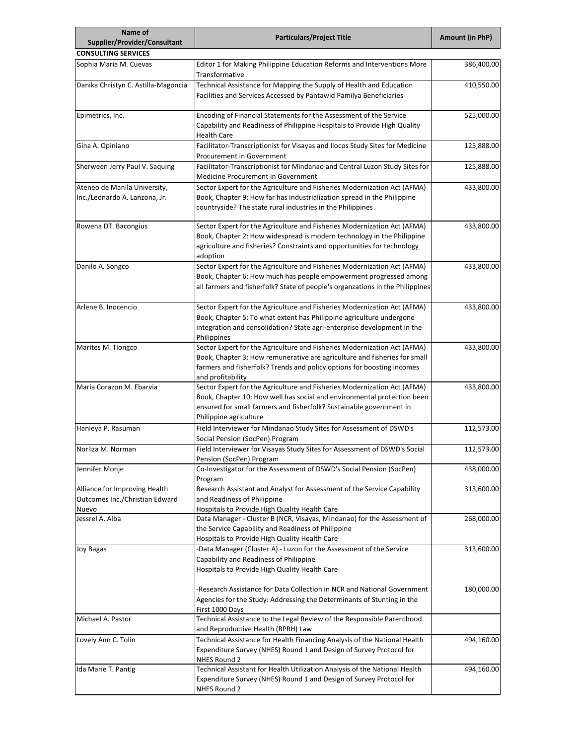| Name of<br>Supplier/Provider/Consultant                                  | <b>Particulars/Project Title</b>                                                                                                                                                                                                                                                                                                      | Amount (in PhP)          |
|--------------------------------------------------------------------------|---------------------------------------------------------------------------------------------------------------------------------------------------------------------------------------------------------------------------------------------------------------------------------------------------------------------------------------|--------------------------|
| <b>CONSULTING SERVICES</b>                                               |                                                                                                                                                                                                                                                                                                                                       |                          |
| Sophia Maria M. Cuevas                                                   | Editor 1 for Making Philippine Education Reforms and Interventions More<br>Transformative                                                                                                                                                                                                                                             | 386,400.00               |
| Danika Christyn C. Astilla-Magoncia                                      | Technical Assistance for Mapping the Supply of Health and Education<br>Facilities and Services Accessed by Pantawid Pamilya Beneficiaries                                                                                                                                                                                             | 410,550.00               |
| Epimetrics, Inc.                                                         | Encoding of Financial Statements for the Assessment of the Service<br>Capability and Readiness of Philippine Hospitals to Provide High Quality<br>Health Care                                                                                                                                                                         | 525,000.00               |
| Gina A. Opiniano                                                         | Facilitator-Transcriptionist for Visayas and Ilocos Study Sites for Medicine<br>Procurement in Government                                                                                                                                                                                                                             | 125,888.00               |
| Sherween Jerry Paul V. Saquing                                           | Facilitator-Transcriptionist for Mindanao and Central Luzon Study Sites for<br>Medicine Procurement in Government                                                                                                                                                                                                                     | 125,888.00               |
| Ateneo de Manila University,<br>Inc./Leonardo A. Lanzona, Jr.            | Sector Expert for the Agriculture and Fisheries Modernization Act (AFMA)<br>Book, Chapter 9: How far has industrialization spread in the Philippine<br>countryside? The state rural industries in the Philippines                                                                                                                     | 433,800.00               |
| Rowena DT. Bacongius                                                     | Sector Expert for the Agriculture and Fisheries Modernization Act (AFMA)<br>Book, Chapter 2: How widespread is modern technology in the Philippine<br>agriculture and fisheries? Constraints and opportunities for technology<br>adoption                                                                                             | 433,800.00               |
| Danilo A. Songco                                                         | Sector Expert for the Agriculture and Fisheries Modernization Act (AFMA)<br>Book, Chapter 6: How much has people empowerment progressed among<br>all farmers and fisherfolk? State of people's organzations in the Philippines                                                                                                        | 433,800.00               |
| Arlene B. Inocencio                                                      | Sector Expert for the Agriculture and Fisheries Modernization Act (AFMA)<br>Book, Chapter 5: To what extent has Philippine agriculture undergone<br>integration and consolidation? State agri-enterprise development in the<br>Philippines                                                                                            | 433,800.00               |
| Marites M. Tiongco                                                       | Sector Expert for the Agriculture and Fisheries Modernization Act (AFMA)<br>Book, Chapter 3: How remunerative are agriculture and fisheries for small<br>farmers and fisherfolk? Trends and policy options for boosting incomes<br>and profitability                                                                                  | 433,800.00               |
| Maria Corazon M. Ebarvia                                                 | Sector Expert for the Agriculture and Fisheries Modernization Act (AFMA)<br>Book, Chapter 10: How well has social and environmental protection been<br>ensured for small farmers and fisherfolk? Sustainable government in<br>Philippine agriculture                                                                                  | 433,800.00               |
| Hanieya P. Rasuman                                                       | Field Interviewer for Mindanao Study Sites for Assessment of DSWD's<br>Social Pension (SocPen) Program                                                                                                                                                                                                                                | 112,573.00               |
| Norliza M. Norman                                                        | Field Interviewer for Visayas Study Sites for Assessment of DSWD's Social<br>Pension (SocPen) Program                                                                                                                                                                                                                                 | 112,573.00               |
| Jennifer Monje                                                           | Co-Investigator for the Assessment of DSWD's Social Pension (SocPen)<br>Program                                                                                                                                                                                                                                                       | 438,000.00               |
| Alliance for Improving Health<br>Outcomes Inc./Christian Edward<br>Nuevo | Research Assistant and Analyst for Assessment of the Service Capability<br>and Readiness of Philippine<br>Hospitals to Provide High Quality Health Care                                                                                                                                                                               | 313,600.00               |
| Jessrel A. Alba                                                          | Data Manager - Cluster B (NCR, Visayas, Mindanao) for the Assessment of<br>the Service Capability and Readiness of Philippine<br>Hospitals to Provide High Quality Health Care                                                                                                                                                        | 268,000.00               |
| <b>Joy Bagas</b>                                                         | -Data Manager (Cluster A) - Luzon for the Assessment of the Service<br>Capability and Readiness of Philippine<br>Hospitals to Provide High Quality Health Care<br>Research Assistance for Data Collection in NCR and National Government<br>Agencies for the Study: Addressing the Determinants of Stunting in the<br>First 1000 Days | 313,600.00<br>180,000.00 |
| Michael A. Pastor                                                        | Technical Assistance to the Legal Review of the Responsible Parenthood<br>and Reproductive Health (RPRH) Law                                                                                                                                                                                                                          |                          |
| Lovely Ann C. Tolin                                                      | Technical Assistance for Health Financing Analysis of the National Health<br>Expenditure Survey (NHES) Round 1 and Design of Survey Protocol for<br>NHES Round 2                                                                                                                                                                      | 494,160.00               |
| Ida Marie T. Pantig                                                      | Technical Assistant for Health Utilization Analysis of the National Health<br>Expenditure Survey (NHES) Round 1 and Design of Survey Protocol for<br>NHES Round 2                                                                                                                                                                     | 494,160.00               |